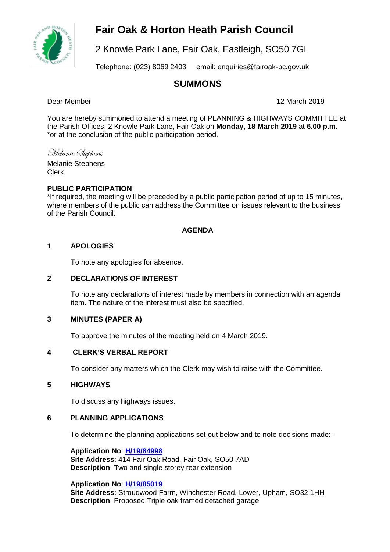## **Fair Oak & Horton Heath Parish Council**



2 Knowle Park Lane, Fair Oak, Eastleigh, SO50 7GL

Telephone: (023) 8069 2403 email: enquiries@fairoak-pc.gov.uk

## **SUMMONS**

Dear Member 12 March 2019

You are hereby summoned to attend a meeting of PLANNING & HIGHWAYS COMMITTEE at the Parish Offices, 2 Knowle Park Lane, Fair Oak on **Monday, 18 March 2019** at **6.00 p.m.**  \*or at the conclusion of the public participation period.

Melanie Stephens Melanie Stephens

Clerk

## **PUBLIC PARTICIPATION**:

\*If required, the meeting will be preceded by a public participation period of up to 15 minutes, where members of the public can address the Committee on issues relevant to the business of the Parish Council.

## **AGENDA**

## **1 APOLOGIES**

To note any apologies for absence.

## **2 DECLARATIONS OF INTEREST**

To note any declarations of interest made by members in connection with an agenda item. The nature of the interest must also be specified.

## **3 MINUTES (PAPER A)**

To approve the minutes of the meeting held on 4 March 2019.

## **4 CLERK'S VERBAL REPORT**

To consider any matters which the Clerk may wish to raise with the Committee.

## **5 HIGHWAYS**

To discuss any highways issues.

## **6 PLANNING APPLICATIONS**

To determine the planning applications set out below and to note decisions made: -

**Application No**: **[H/19/84998](https://planning.eastleigh.gov.uk/s/papplication/a1M1v0000064aFS) Site Address**: 414 Fair Oak Road, Fair Oak, SO50 7AD **Description**: Two and single storey rear extension

**Application No**: **[H/19/85019](https://planning.eastleigh.gov.uk/s/papplication/a1M1v0000064fVo) Site Address**: Stroudwood Farm, Winchester Road, Lower, Upham, SO32 1HH **Description**: Proposed Triple oak framed detached garage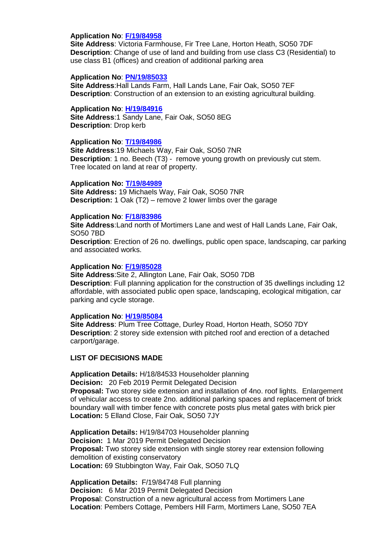#### **Application No**: **[F/19/84958](https://planning.eastleigh.gov.uk/s/papplication/a1M1v000005rhVX)**

**Site Address**: Victoria Farmhouse, Fir Tree Lane, Horton Heath, SO50 7DF **Description**: Change of use of land and building from use class C3 (Residential) to use class B1 (offices) and creation of additional parking area

#### **Application No**: **[PN/19/85033](https://planning.eastleigh.gov.uk/s/papplication/a1M1v0000064fsc)**

**Site Address**:Hall Lands Farm, Hall Lands Lane, Fair Oak, SO50 7EF **Description**: Construction of an extension to an existing agricultural building.

#### **Application No**: **[H/19/84916](https://planning.eastleigh.gov.uk/s/papplication/a1M1v000005rglk)**

**Site Address**:1 Sandy Lane, Fair Oak, SO50 8EG **Description**: Drop kerb

### **Application No**: **[T/19/84986](https://planning.eastleigh.gov.uk/s/papplication/a1M1v0000064Zh7)**

**Site Address**:19 Michaels Way, Fair Oak, SO50 7NR **Description**: 1 no. Beech (T3) - remove young growth on previously cut stem. Tree located on land at rear of property.

#### **Application No: [T/19/84989](https://planning.eastleigh.gov.uk/s/papplication/a1M1v0000064Zln)**

**Site Address:** 19 Michaels Way, Fair Oak, SO50 7NR **Description:** 1 Oak (T2) – remove 2 lower limbs over the garage

#### **Application No**: **[F/18/83986](https://planning.eastleigh.gov.uk/s/papplication/a1M1v00000416ax)**

**Site Address**:Land north of Mortimers Lane and west of Hall Lands Lane, Fair Oak, SO50 7BD

**Description**: Erection of 26 no. dwellings, public open space, landscaping, car parking and associated works.

#### **Application No**: **[F/19/85028](https://planning.eastleigh.gov.uk/s/papplication/a1M1v0000064fYO)**

**Site Address**:Site 2, Allington Lane, Fair Oak, SO50 7DB **Description**: Full planning application for the construction of 35 dwellings including 12 affordable, with associated public open space, landscaping, ecological mitigation, car parking and cycle storage.

#### **Application No**: **[H/19/85084](https://planning.eastleigh.gov.uk/s/papplication/a1M1v0000064grk)**

**Site Address**: Plum Tree Cottage, Durley Road, Horton Heath, SO50 7DY **Description**: 2 storey side extension with pitched roof and erection of a detached carport/garage.

#### **LIST OF DECISIONS MADE**

**Application Details:** H/18/84533 Householder planning **Decision:** 20 Feb 2019 Permit Delegated Decision **Proposal:** Two storey side extension and installation of 4no. roof lights. Enlargement of vehicular access to create 2no. additional parking spaces and replacement of brick boundary wall with timber fence with concrete posts plus metal gates with brick pier **Location:** 5 Elland Close, Fair Oak, SO50 7JY

**Application Details:** H/19/84703 Householder planning **Decision:** 1 Mar 2019 Permit Delegated Decision **Proposal:** Two storey side extension with single storey rear extension following demolition of existing conservatory **Location:** 69 Stubbington Way, Fair Oak, SO50 7LQ

**Application Details:** F/19/84748 Full planning **Decision:** 6 Mar 2019 Permit Delegated Decision **Proposa**l: Construction of a new agricultural access from Mortimers Lane **Location**: Pembers Cottage, Pembers Hill Farm, Mortimers Lane, SO50 7EA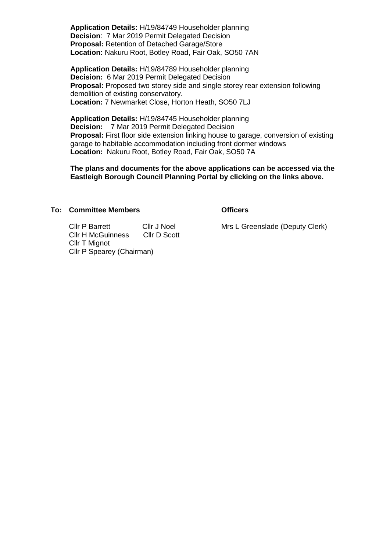**Application Details:** H/19/84749 Householder planning **Decision**: 7 Mar 2019 Permit Delegated Decision **Proposal:** Retention of Detached Garage/Store **Location:** Nakuru Root, Botley Road, Fair Oak, SO50 7AN

**Application Details:** H/19/84789 Householder planning **Decision:** 6 Mar 2019 Permit Delegated Decision **Proposal:** Proposed two storey side and single storey rear extension following demolition of existing conservatory. **Location:** 7 Newmarket Close, Horton Heath, SO50 7LJ

**Application Details:** H/19/84745 Householder planning **Decision:** 7 Mar 2019 Permit Delegated Decision **Proposal:** First floor side extension linking house to garage, conversion of existing garage to habitable accommodation including front dormer windows **Location:** Nakuru Root, Botley Road, Fair Oak, SO50 7A

**The plans and documents for the above applications can be accessed via the Eastleigh Borough Council Planning Portal by clicking on the links above.**

#### **To: Committee Members Officers**

Cllr P Barrett Cllr J Noel Cllr H McGuinness Cllr D Scott Cllr T Mignot Cllr P Spearey (Chairman)

Mrs L Greenslade (Deputy Clerk)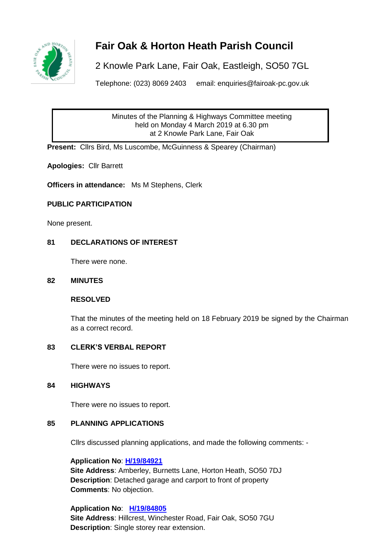

# **Fair Oak & Horton Heath Parish Council**

2 Knowle Park Lane, Fair Oak, Eastleigh, SO50 7GL

Telephone: (023) 8069 2403 email: enquiries@fairoak-pc.gov.uk

Minutes of the Planning & Highways Committee meeting held on Monday 4 March 2019 at 6.30 pm at 2 Knowle Park Lane, Fair Oak

**Present:** Cllrs Bird, Ms Luscombe, McGuinness & Spearey (Chairman)

**Apologies:** Cllr Barrett

**Officers in attendance:** Ms M Stephens, Clerk

## **PUBLIC PARTICIPATION**

None present.

## **81 DECLARATIONS OF INTEREST**

There were none.

### **82 MINUTES**

## **RESOLVED**

That the minutes of the meeting held on 18 February 2019 be signed by the Chairman as a correct record.

## **83 CLERK'S VERBAL REPORT**

There were no issues to report.

## **84 HIGHWAYS**

There were no issues to report.

## **85 PLANNING APPLICATIONS**

Cllrs discussed planning applications, and made the following comments: -

## **Application No**: **[H/19/84921](https://planning.eastleigh.gov.uk/s/papplication/a1M1v000005rgnH)**

**Site Address**: Amberley, Burnetts Lane, Horton Heath, SO50 7DJ **Description**: Detached garage and carport to front of property  **Comments**: No objection.

**Application No**: **[H/19/84805](https://planning.eastleigh.gov.uk/s/papplication/a1M1v000004Iu3w) Site Address**: Hillcrest, Winchester Road, Fair Oak, SO50 7GU **Description**: Single storey rear extension.